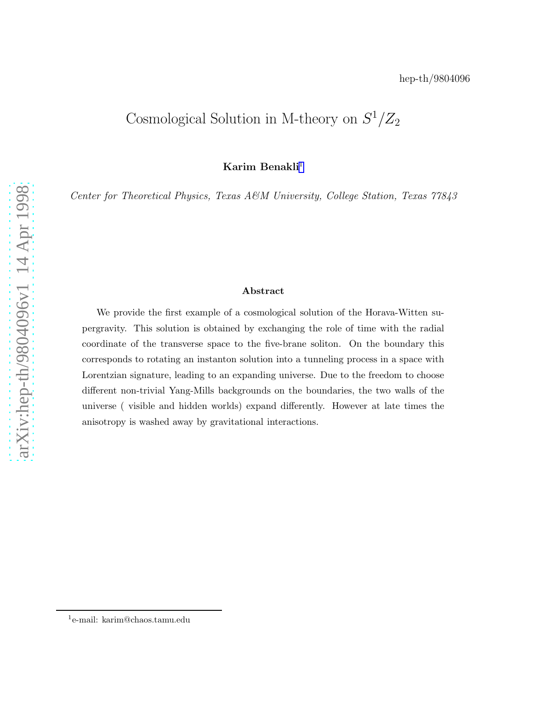## Cosmological Solution in M-theory on  $S^1/Z_2$

Karim Benakli 1

Center for Theoretical Physics, Texas A&M University, College Station, Texas 77843

## Abstract

We provide the first example of a cosmological solution of the Horava-Witten supergravity. This solution is obtained by exchanging the role of time with the radial coordinate of the transverse space to the five-brane soliton. On the boundary this corresponds to rotating an instanton solution into a tunneling process in a space with Lorentzian signature, leading to an expanding universe. Due to the freedom to choose different non-trivial Yang-Mills backgrounds on the boundaries, the two walls of the universe ( visible and hidden worlds) expand differently. However at late times the anisotropy is washed away by gravitational interactions.

<sup>1</sup> e-mail: karim@chaos.tamu.edu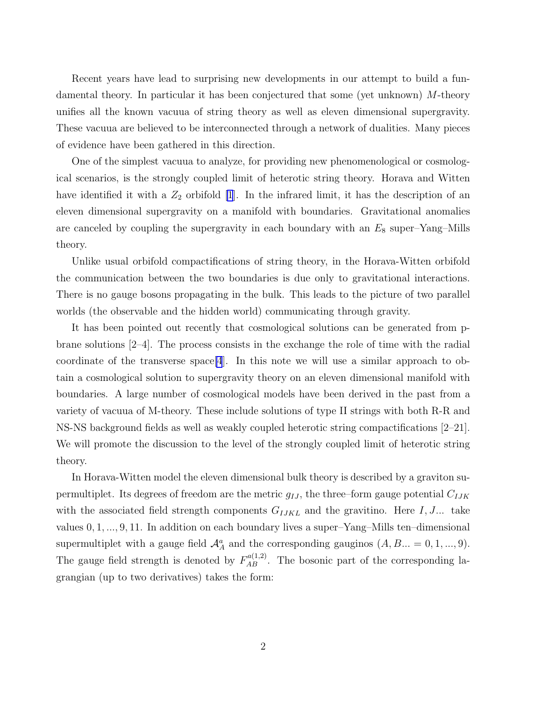Recent years have lead to surprising new developments in our attempt to build a fundamental theory. In particular it has been conjectured that some (yet unknown) M-theory unifies all the known vacuua of string theory as well as eleven dimensional supergravity. These vacuua are believed to be interconnected through a network of dualities. Many pieces of evidence have been gathered in this direction.

One of the simplest vacuua to analyze, for providing new phenomenological or cosmological scenarios, is the strongly coupled limit of heterotic string theory. Horava and Witten have identified it with a  $Z_2$  orbifold [\[1](#page-7-0)]. In the infrared limit, it has the description of an eleven dimensional supergravity on a manifold with boundaries. Gravitational anomalies are canceled by coupling the supergravity in each boundary with an  $E_8$  super–Yang–Mills theory.

Unlike usual orbifold compactifications of string theory, in the Horava-Witten orbifold the communication between the two boundaries is due only to gravitational interactions. There is no gauge bosons propagating in the bulk. This leads to the picture of two parallel worlds (the observable and the hidden world) communicating through gravity.

It has been pointed out recently that cosmological solutions can be generated from pbrane solutions [2–4]. The process consists in the exchange the role of time with the radial coordinate of the transverse space [\[4](#page-7-0)]. In this note we will use a similar approach to obtain a cosmological solution to supergravity theory on an eleven dimensional manifold with boundaries. A large number of cosmological models have been derived in the past from a variety of vacuua of M-theory. These include solutions of type II strings with both R-R and NS-NS background fields as well as weakly coupled heterotic string compactifications [2–21]. We will promote the discussion to the level of the strongly coupled limit of heterotic string theory.

In Horava-Witten model the eleven dimensional bulk theory is described by a graviton supermultiplet. Its degrees of freedom are the metric  $g_{IJ}$ , the three–form gauge potential  $C_{IJK}$ with the associated field strength components  $G_{IJKL}$  and the gravitino. Here I, J... take values 0, 1, ..., 9, 11. In addition on each boundary lives a super–Yang–Mills ten–dimensional supermultiplet with a gauge field  $\mathcal{A}_A^a$  and the corresponding gauginos  $(A, B... = 0, 1, ..., 9)$ . The gauge field strength is denoted by  $F_{AB}^{a(1,2)}$ . The bosonic part of the corresponding lagrangian (up to two derivatives) takes the form: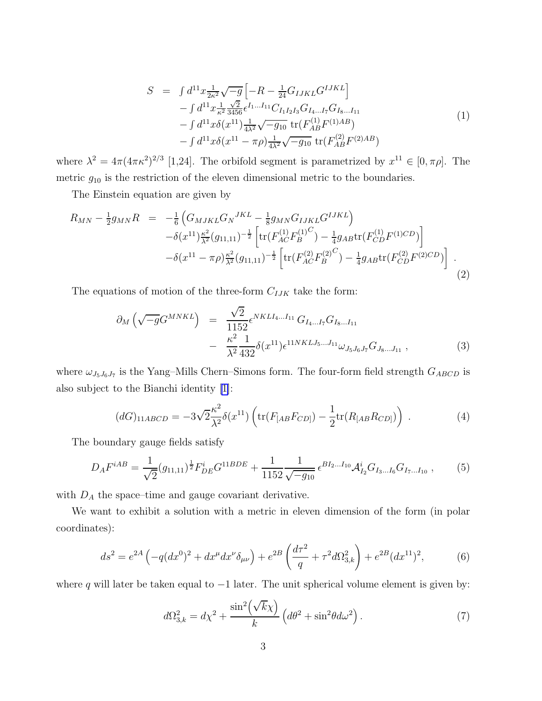$$
S = \int d^{11}x \frac{1}{2\kappa^2} \sqrt{-g} \left[ -R - \frac{1}{24} G_{IJKL} G^{IJKL} \right] - \int d^{11}x \frac{1}{\kappa^2} \frac{\sqrt{2}}{3456} \epsilon^{I_1...I_{11}} C_{I_1 I_2 I_3} G_{I_4...I_7} G_{I_8...I_{11}} - \int d^{11}x \delta(x^{11}) \frac{1}{4\lambda^2} \sqrt{-g_{10}} \operatorname{tr}(F_{AB}^{(1)} F^{(1)AB}) - \int d^{11}x \delta(x^{11} - \pi \rho) \frac{1}{4\lambda^2} \sqrt{-g_{10}} \operatorname{tr}(F_{AB}^{(2)} F^{(2)AB})
$$
\n(1)

<span id="page-2-0"></span>where  $\lambda^2 = 4\pi (4\pi \kappa^2)^{2/3}$  [1,24]. The orbifold segment is parametrized by  $x^{11} \in [0, \pi \rho]$ . The metric  $g_{10}$  is the restriction of the eleven dimensional metric to the boundaries.

The Einstein equation are given by

$$
R_{MN} - \frac{1}{2}g_{MN}R = -\frac{1}{6}\left(G_{MJKL}G_N^{JKL} - \frac{1}{8}g_{MN}G_{IJKL}G^{IJKL}\right) - \delta(x^{11})\frac{\kappa^2}{\lambda^2}(g_{11,11})^{-\frac{1}{2}}\left[\text{tr}(F_{AC}^{(1)}F_B^{(1)C}) - \frac{1}{4}g_{AB}\text{tr}(F_{CD}^{(1)}F^{(1)CD})\right] - \delta(x^{11} - \pi\rho)\frac{\kappa^2}{\lambda^2}(g_{11,11})^{-\frac{1}{2}}\left[\text{tr}(F_{AC}^{(2)}F_B^{(2)C}) - \frac{1}{4}g_{AB}\text{tr}(F_{CD}^{(2)}F^{(2)CD})\right] .
$$
\n(2)

The equations of motion of the three-form  $C_{IJK}$  take the form:

$$
\partial_{M} \left( \sqrt{-g} G^{MNKL} \right) = \frac{\sqrt{2}}{1152} \epsilon^{NKLI_{4}...I_{11}} G_{I_{4}...I_{7}} G_{I_{8}...I_{11}} - \frac{\kappa^{2}}{\lambda^{2}} \frac{1}{432} \delta(x^{11}) \epsilon^{11NKLI_{5}...J_{11}} \omega_{J_{5}J_{6}J_{7}} G_{J_{8}...J_{11}} , \qquad (3)
$$

where  $\omega_{J_5J_6J_7}$  is the Yang–Mills Chern–Simons form. The four-form field strength  $G_{ABCD}$  is also subject to the Bianchi identity [\[1\]](#page-7-0):

$$
(dG)_{11ABCD} = -3\sqrt{2}\frac{\kappa^2}{\lambda^2}\delta(x^{11})\left(\text{tr}(F_{[AB}F_{CD]}) - \frac{1}{2}\text{tr}(R_{[AB}R_{CD]})\right) \,. \tag{4}
$$

The boundary gauge fields satisfy

$$
D_A F^{iAB} = \frac{1}{\sqrt{2}} (g_{11,11})^{\frac{1}{2}} F^i_{DE} G^{11BDE} + \frac{1}{1152} \frac{1}{\sqrt{-g_{10}}} \epsilon^{B I_2 \dots I_{10}} \mathcal{A}_{I_2}^i G_{I_3 \dots I_6} G_{I_7 \dots I_{10}} ,\qquad (5)
$$

with  $D_A$  the space–time and gauge covariant derivative.

We want to exhibit a solution with a metric in eleven dimension of the form (in polar coordinates):

$$
ds^{2} = e^{2A} \left( -q(dx^{0})^{2} + dx^{\mu} dx^{\nu} \delta_{\mu\nu} \right) + e^{2B} \left( \frac{d\tau^{2}}{q} + \tau^{2} d\Omega_{3,k}^{2} \right) + e^{2B} (dx^{11})^{2}, \tag{6}
$$

where q will later be taken equal to  $-1$  later. The unit spherical volume element is given by:

$$
d\Omega_{3,k}^2 = d\chi^2 + \frac{\sin^2\left(\sqrt{k}\chi\right)}{k} \left(d\theta^2 + \sin^2\theta d\omega^2\right). \tag{7}
$$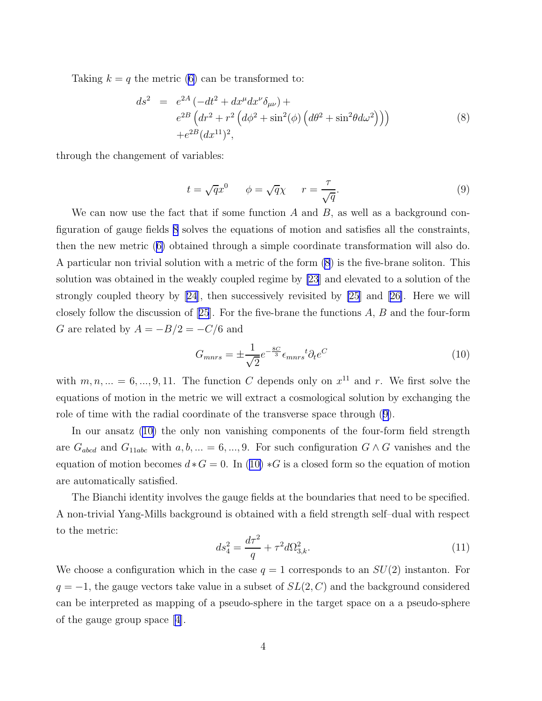<span id="page-3-0"></span>Taking $k = q$  the metric ([6\)](#page-2-0) can be transformed to:

$$
ds^{2} = e^{2A} \left( -dt^{2} + dx^{\mu} dx^{\nu} \delta_{\mu\nu} \right) +
$$
  
\n
$$
e^{2B} \left( dr^{2} + r^{2} \left( d\phi^{2} + \sin^{2}(\phi) \left( d\theta^{2} + \sin^{2}\theta d\omega^{2} \right) \right) \right)
$$
  
\n
$$
+ e^{2B} (dx^{11})^{2},
$$
\n(8)

through the changement of variables:

$$
t = \sqrt{q}x^0 \qquad \phi = \sqrt{q}\chi \qquad r = \frac{\tau}{\sqrt{q}}.\tag{9}
$$

We can now use the fact that if some function  $A$  and  $B$ , as well as a background configuration of gauge fields 8 solves the equations of motion and satisfies all the constraints, then the new metric([6\)](#page-2-0) obtained through a simple coordinate transformation will also do. A particular non trivial solution with a metric of the form (8) is the five-brane soliton. This solution was obtained in the weakly coupled regime by [\[23](#page-8-0)] and elevated to a solution of the strongly coupled theory by [\[24\]](#page-8-0), then successively revisited by [\[25](#page-8-0)] and[[26\]](#page-8-0). Here we will closelyfollow the discussion of  $[25]$  $[25]$  $[25]$ . For the five-brane the functions A, B and the four-form G are related by  $A = -B/2 = -C/6$  and

$$
G_{mnrs} = \pm \frac{1}{\sqrt{2}} e^{-\frac{8C}{3}} \epsilon_{mnrs}{}^t \partial_t e^C \tag{10}
$$

with  $m, n, ... = 6, ..., 9, 11$ . The function C depends only on  $x^{11}$  and r. We first solve the equations of motion in the metric we will extract a cosmological solution by exchanging the role of time with the radial coordinate of the transverse space through (9).

In our ansatz (10) the only non vanishing components of the four-form field strength are  $G_{abcd}$  and  $G_{11abc}$  with  $a, b, ... = 6, ..., 9$ . For such configuration  $G \wedge G$  vanishes and the equation of motion becomes  $d * G = 0$ . In (10)  $*G$  is a closed form so the equation of motion are automatically satisfied.

The Bianchi identity involves the gauge fields at the boundaries that need to be specified. A non-trivial Yang-Mills background is obtained with a field strength self–dual with respect to the metric:

$$
ds_4^2 = \frac{d\tau^2}{q} + \tau^2 d\Omega_{3,k}^2.
$$
\n(11)

We choose a configuration which in the case  $q = 1$  corresponds to an  $SU(2)$  instanton. For  $q = -1$ , the gauge vectors take value in a subset of  $SL(2, C)$  and the background considered can be interpreted as mapping of a pseudo-sphere in the target space on a a pseudo-sphere of the gauge group space[[4\]](#page-7-0).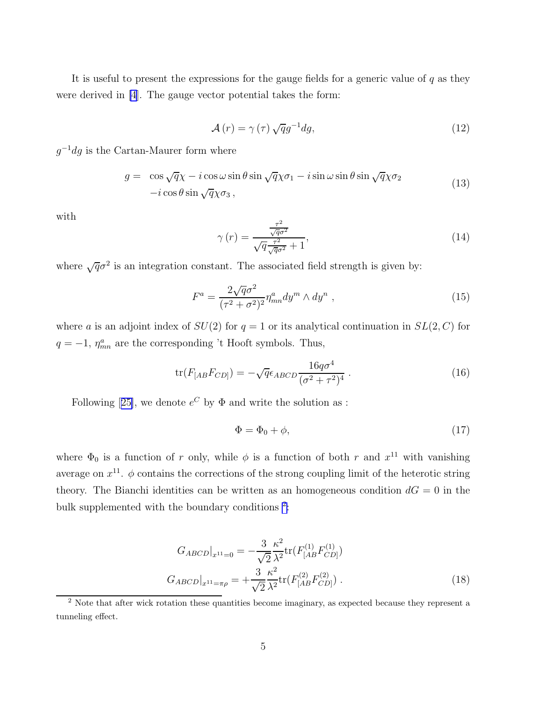It is useful to present the expressions for the gauge fields for a generic value of  $q$  as they were derived in [\[4](#page-7-0)]. The gauge vector potential takes the form:

$$
\mathcal{A}(r) = \gamma(\tau) \sqrt{q}g^{-1}dg,\tag{12}
$$

 $g^{-1}dg$  is the Cartan-Maurer form where

$$
g = \cos\sqrt{q}\chi - i\cos\omega\sin\theta\sin\sqrt{q}\chi\sigma_1 - i\sin\omega\sin\theta\sin\sqrt{q}\chi\sigma_2
$$
  
-
$$
-i\cos\theta\sin\sqrt{q}\chi\sigma_3,
$$
 (13)

with

$$
\gamma\left(r\right) = \frac{\frac{\tau^2}{\sqrt{q\sigma^2}}}{\sqrt{q\frac{\tau^2}{\sqrt{q\sigma^2}} + 1}},\tag{14}
$$

where  $\sqrt{q}\sigma^2$  is an integration constant. The associated field strength is given by:

$$
F^{a} = \frac{2\sqrt{q}\sigma^{2}}{(\tau^{2} + \sigma^{2})^{2}} \eta^{a}_{mn} dy^{m} \wedge dy^{n} , \qquad (15)
$$

where a is an adjoint index of  $SU(2)$  for  $q=1$  or its analytical continuation in  $SL(2, C)$  for  $q = -1$ ,  $\eta_{mn}^a$  are the corresponding 't Hooft symbols. Thus,

$$
\text{tr}(F_{[AB}F_{CD]}) = -\sqrt{q}\epsilon_{ABCD}\frac{16q\sigma^4}{(\sigma^2 + \tau^2)^4} \,. \tag{16}
$$

Following[[25\]](#page-8-0), we denote  $e^C$  by  $\Phi$  and write the solution as :

$$
\Phi = \Phi_0 + \phi,\tag{17}
$$

where  $\Phi_0$  is a function of r only, while  $\phi$  is a function of both r and  $x^{11}$  with vanishing average on  $x^{11}$ .  $\phi$  contains the corrections of the strong coupling limit of the heterotic string theory. The Bianchi identities can be written as an homogeneous condition  $dG = 0$  in the bulk supplemented with the boundary conditions  $2$ :

$$
G_{ABCD}|_{x^{11}=0} = -\frac{3}{\sqrt{2}} \frac{\kappa^2}{\lambda^2} \text{tr}(F_{[AB}^{(1)} F_{CD]}^{(1)})
$$

$$
G_{ABCD}|_{x^{11}=\pi\rho} = +\frac{3}{\sqrt{2}} \frac{\kappa^2}{\lambda^2} \text{tr}(F_{[AB}^{(2)} F_{CD]}^{(2)}) .
$$
(18)

<sup>&</sup>lt;sup>2</sup> Note that after wick rotation these quantities become imaginary, as expected because they represent a tunneling effect.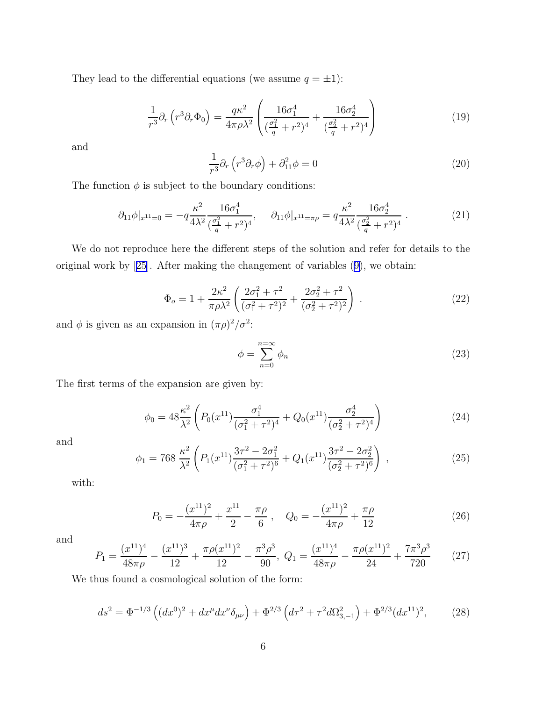<span id="page-5-0"></span>They lead to the differential equations (we assume  $q = \pm 1$ ):

$$
\frac{1}{r^3} \partial_r \left( r^3 \partial_r \Phi_0 \right) = \frac{q \kappa^2}{4 \pi \rho \lambda^2} \left( \frac{16 \sigma_1^4}{(\frac{\sigma_1^2}{q} + r^2)^4} + \frac{16 \sigma_2^4}{(\frac{\sigma_2^2}{q} + r^2)^4} \right)
$$
(19)

and

$$
\frac{1}{r^3} \partial_r \left( r^3 \partial_r \phi \right) + \partial_{11}^2 \phi = 0 \tag{20}
$$

The function  $\phi$  is subject to the boundary conditions:

$$
\partial_{11}\phi|_{x^{11}=0} = -q\frac{\kappa^2}{4\lambda^2} \frac{16\sigma_1^4}{(\frac{\sigma_1^2}{q} + r^2)^4}, \quad \partial_{11}\phi|_{x^{11}=\pi\rho} = q\frac{\kappa^2}{4\lambda^2} \frac{16\sigma_2^4}{(\frac{\sigma_2^2}{q} + r^2)^4} \,. \tag{21}
$$

We do not reproduce here the different steps of the solution and refer for details to the original work by[[25\]](#page-8-0). After making the changement of variables [\(9\)](#page-3-0), we obtain:

$$
\Phi_o = 1 + \frac{2\kappa^2}{\pi \rho \lambda^2} \left( \frac{2\sigma_1^2 + \tau^2}{(\sigma_1^2 + \tau^2)^2} + \frac{2\sigma_2^2 + \tau^2}{(\sigma_2^2 + \tau^2)^2} \right) . \tag{22}
$$

and  $\phi$  is given as an expansion in  $(\pi \rho)^2/\sigma^2$ :

$$
\phi = \sum_{n=0}^{n=\infty} \phi_n \tag{23}
$$

The first terms of the expansion are given by:

$$
\phi_0 = 48 \frac{\kappa^2}{\lambda^2} \left( P_0(x^{11}) \frac{\sigma_1^4}{(\sigma_1^2 + \tau^2)^4} + Q_0(x^{11}) \frac{\sigma_2^4}{(\sigma_2^2 + \tau^2)^4} \right) \tag{24}
$$

and

$$
\phi_1 = 768 \frac{\kappa^2}{\lambda^2} \left( P_1(x^{11}) \frac{3\tau^2 - 2\sigma_1^2}{(\sigma_1^2 + \tau^2)^6} + Q_1(x^{11}) \frac{3\tau^2 - 2\sigma_2^2}{(\sigma_2^2 + \tau^2)^6} \right) ,\tag{25}
$$

with:

$$
P_0 = -\frac{(x^{11})^2}{4\pi\rho} + \frac{x^{11}}{2} - \frac{\pi\rho}{6} , \quad Q_0 = -\frac{(x^{11})^2}{4\pi\rho} + \frac{\pi\rho}{12}
$$
(26)

and

$$
P_1 = \frac{(x^{11})^4}{48\pi\rho} - \frac{(x^{11})^3}{12} + \frac{\pi\rho(x^{11})^2}{12} - \frac{\pi^3\rho^3}{90}, \ Q_1 = \frac{(x^{11})^4}{48\pi\rho} - \frac{\pi\rho(x^{11})^2}{24} + \frac{7\pi^3\rho^3}{720} \tag{27}
$$

We thus found a cosmological solution of the form:

$$
ds^{2} = \Phi^{-1/3} \left( (dx^{0})^{2} + dx^{\mu} dx^{\nu} \delta_{\mu\nu} \right) + \Phi^{2/3} \left( d\tau^{2} + \tau^{2} d\Omega_{3,-1}^{2} \right) + \Phi^{2/3} (dx^{11})^{2}, \tag{28}
$$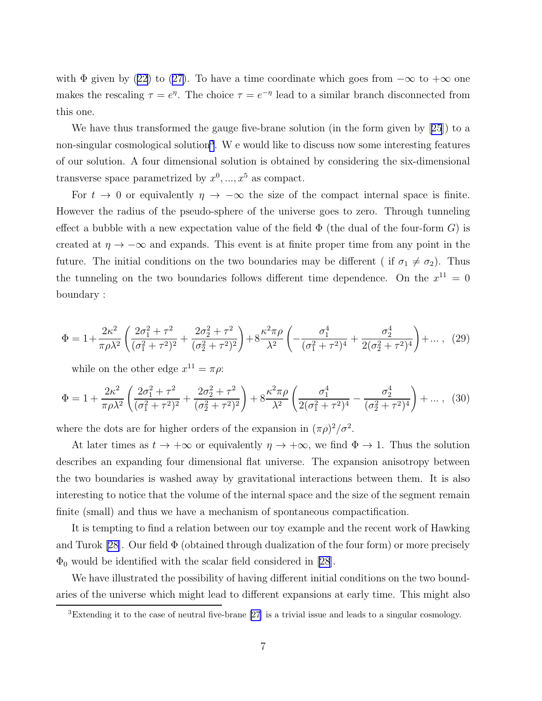with $\Phi$  given by [\(22\)](#page-5-0) to ([27\)](#page-5-0). To have a time coordinate which goes from  $-\infty$  to  $+\infty$  one makes the rescaling  $\tau = e^{\eta}$ . The choice  $\tau = e^{-\eta}$  lead to a similar branch disconnected from this one.

We have thus transformed the gauge five-brane solution (in the form given by[[25](#page-8-0)]) to a non-singular cosmological solution<sup>3</sup>. We would like to discuss now some interesting features of our solution. A four dimensional solution is obtained by considering the six-dimensional transverse space parametrized by  $x^0, ..., x^5$  as compact.

For  $t \to 0$  or equivalently  $\eta \to -\infty$  the size of the compact internal space is finite. However the radius of the pseudo-sphere of the universe goes to zero. Through tunneling effect a bubble with a new expectation value of the field  $\Phi$  (the dual of the four-form G) is created at  $\eta \to -\infty$  and expands. This event is at finite proper time from any point in the future. The initial conditions on the two boundaries may be different ( if  $\sigma_1 \neq \sigma_2$ ). Thus the tunneling on the two boundaries follows different time dependence. On the  $x^{11} = 0$ boundary :

$$
\Phi = 1 + \frac{2\kappa^2}{\pi \rho \lambda^2} \left( \frac{2\sigma_1^2 + \tau^2}{(\sigma_1^2 + \tau^2)^2} + \frac{2\sigma_2^2 + \tau^2}{(\sigma_2^2 + \tau^2)^2} \right) + 8\frac{\kappa^2 \pi \rho}{\lambda^2} \left( -\frac{\sigma_1^4}{(\sigma_1^2 + \tau^2)^4} + \frac{\sigma_2^4}{2(\sigma_2^2 + \tau^2)^4} \right) + \dots, (29)
$$

while on the other edge  $x^{11} = \pi \rho$ :

$$
\Phi = 1 + \frac{2\kappa^2}{\pi \rho \lambda^2} \left( \frac{2\sigma_1^2 + \tau^2}{(\sigma_1^2 + \tau^2)^2} + \frac{2\sigma_2^2 + \tau^2}{(\sigma_2^2 + \tau^2)^2} \right) + 8 \frac{\kappa^2 \pi \rho}{\lambda^2} \left( \frac{\sigma_1^4}{2(\sigma_1^2 + \tau^2)^4} - \frac{\sigma_2^4}{(\sigma_2^2 + \tau^2)^4} \right) + \dots, (30)
$$

where the dots are for higher orders of the expansion in  $(\pi \rho)^2/\sigma^2$ .

At later times as  $t \to +\infty$  or equivalently  $\eta \to +\infty$ , we find  $\Phi \to 1$ . Thus the solution describes an expanding four dimensional flat universe. The expansion anisotropy between the two boundaries is washed away by gravitational interactions between them. It is also interesting to notice that the volume of the internal space and the size of the segment remain finite (small) and thus we have a mechanism of spontaneous compactification.

It is tempting to find a relation between our toy example and the recent work of Hawking and Turok [\[28\]](#page-9-0). Our field  $\Phi$  (obtained through dualization of the four form) or more precisely  $\Phi_0$  would be identified with the scalar field considered in [\[28](#page-9-0)].

We have illustrated the possibility of having different initial conditions on the two boundaries of the universe which might lead to different expansions at early time. This might also

<sup>3</sup>Extending it to the case of neutral five-brane [\[27](#page-8-0)] is a trivial issue and leads to a singular cosmology.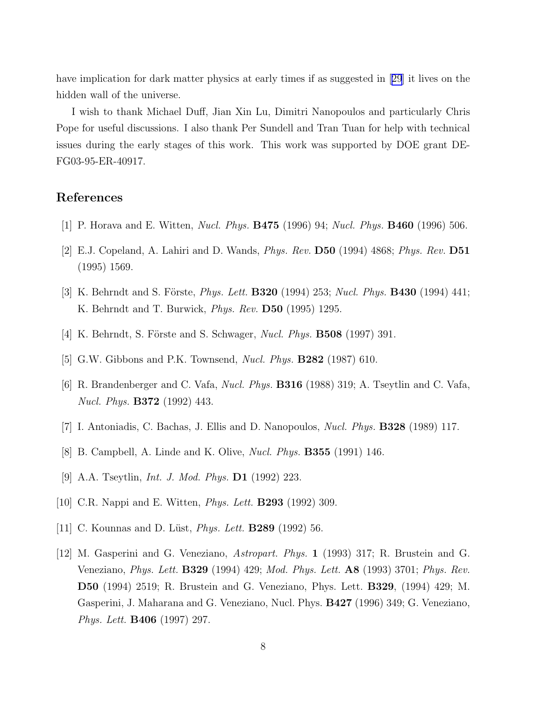<span id="page-7-0"></span>have implication for dark matter physics at early times if as suggested in[[29](#page-9-0)] it lives on the hidden wall of the universe.

I wish to thank Michael Duff, Jian Xin Lu, Dimitri Nanopoulos and particularly Chris Pope for useful discussions. I also thank Per Sundell and Tran Tuan for help with technical issues during the early stages of this work. This work was supported by DOE grant DE-FG03-95-ER-40917.

## References

- [1] P. Horava and E. Witten, Nucl. Phys. B475 (1996) 94; Nucl. Phys. B460 (1996) 506.
- [2] E.J. Copeland, A. Lahiri and D. Wands, Phys. Rev. D50 (1994) 4868; Phys. Rev. D51 (1995) 1569.
- [3] K. Behrndt and S. Förste, *Phys. Lett.* **B320** (1994) 253; *Nucl. Phys.* **B430** (1994) 441; K. Behrndt and T. Burwick, Phys. Rev. D50 (1995) 1295.
- [4] K. Behrndt, S. Förste and S. Schwager, *Nucl. Phys.* **B508** (1997) 391.
- [5] G.W. Gibbons and P.K. Townsend, *Nucl. Phys.* **B282** (1987) 610.
- [6] R. Brandenberger and C. Vafa, Nucl. Phys. B316 (1988) 319; A. Tseytlin and C. Vafa, Nucl. Phys. B372 (1992) 443.
- [7] I. Antoniadis, C. Bachas, J. Ellis and D. Nanopoulos, Nucl. Phys. B328 (1989) 117.
- [8] B. Campbell, A. Linde and K. Olive, Nucl. Phys. B355 (1991) 146.
- [9] A.A. Tseytlin, Int. J. Mod. Phys. D1 (1992) 223.
- [10] C.R. Nappi and E. Witten, *Phys. Lett.* **B293** (1992) 309.
- [11] C. Kounnas and D. Lüst, *Phys. Lett.* **B289** (1992) 56.
- [12] M. Gasperini and G. Veneziano, Astropart. Phys. 1 (1993) 317; R. Brustein and G. Veneziano, Phys. Lett. B329 (1994) 429; Mod. Phys. Lett. A8 (1993) 3701; Phys. Rev. D50 (1994) 2519; R. Brustein and G. Veneziano, Phys. Lett. B329, (1994) 429; M. Gasperini, J. Maharana and G. Veneziano, Nucl. Phys. B427 (1996) 349; G. Veneziano, Phys. Lett. B406 (1997) 297.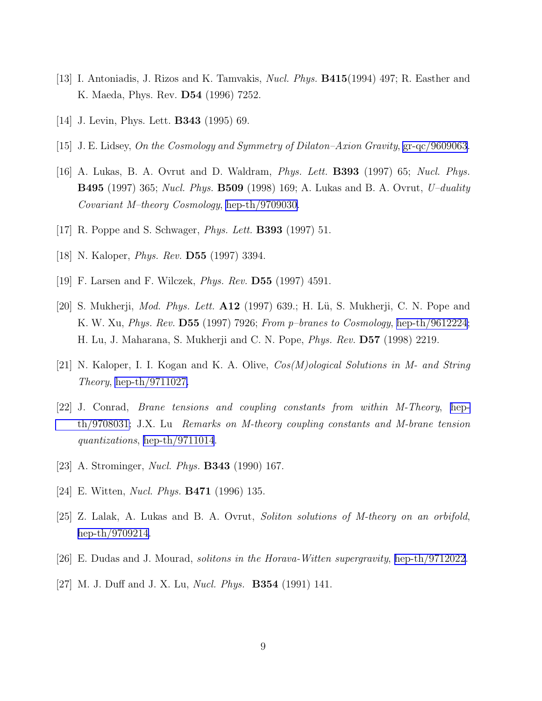- <span id="page-8-0"></span>[13] I. Antoniadis, J. Rizos and K. Tamvakis, Nucl. Phys. B415(1994) 497; R. Easther and K. Maeda, Phys. Rev. D54 (1996) 7252.
- [14] J. Levin, Phys. Lett. B343 (1995) 69.
- [15] J. E. Lidsey, On the Cosmology and Symmetry of Dilaton–Axion Gravity, [gr-qc/9609063](http://arxiv.org/abs/gr-qc/9609063).
- [16] A. Lukas, B. A. Ovrut and D. Waldram, Phys. Lett. B393 (1997) 65; Nucl. Phys. B495 (1997) 365; Nucl. Phys. B509 (1998) 169; A. Lukas and B. A. Ovrut, U–duality Covariant M–theory Cosmology, [hep-th/9709030.](http://arxiv.org/abs/hep-th/9709030)
- [17] R. Poppe and S. Schwager, Phys. Lett. B393 (1997) 51.
- [18] N. Kaloper, *Phys. Rev.* **D55** (1997) 3394.
- [19] F. Larsen and F. Wilczek, Phys. Rev. D55 (1997) 4591.
- [20] S. Mukherji, *Mod. Phys. Lett.*  $A12$  (1997) 639.; H. Lü, S. Mukherji, C. N. Pope and K. W. Xu, *Phys. Rev.* **D55** (1997) 7926; From p-branes to Cosmology, [hep-th/9612224](http://arxiv.org/abs/hep-th/9612224); H. Lu, J. Maharana, S. Mukherji and C. N. Pope, Phys. Rev. D57 (1998) 2219.
- [21] N. Kaloper, I. I. Kogan and K. A. Olive, Cos(M)ological Solutions in M- and String Theory, [hep-th/9711027.](http://arxiv.org/abs/hep-th/9711027)
- [22] J. Conrad, Brane tensions and coupling constants from within M-Theory, [hep](http://arxiv.org/abs/hep-th/9708031)[th/9708031;](http://arxiv.org/abs/hep-th/9708031) J.X. Lu Remarks on M-theory coupling constants and M-brane tension quantizations, [hep-th/9711014](http://arxiv.org/abs/hep-th/9711014).
- [23] A. Strominger, *Nucl. Phys.* **B343** (1990) 167.
- [24] E. Witten, Nucl. Phys. B471 (1996) 135.
- [25] Z. Lalak, A. Lukas and B. A. Ovrut, Soliton solutions of M-theory on an orbifold, [hep-th/9709214.](http://arxiv.org/abs/hep-th/9709214)
- [26] E. Dudas and J. Mourad, solitons in the Horava-Witten supergravity, [hep-th/9712022.](http://arxiv.org/abs/hep-th/9712022)
- [27] M. J. Duff and J. X. Lu, *Nucl. Phys.* **B354** (1991) 141.